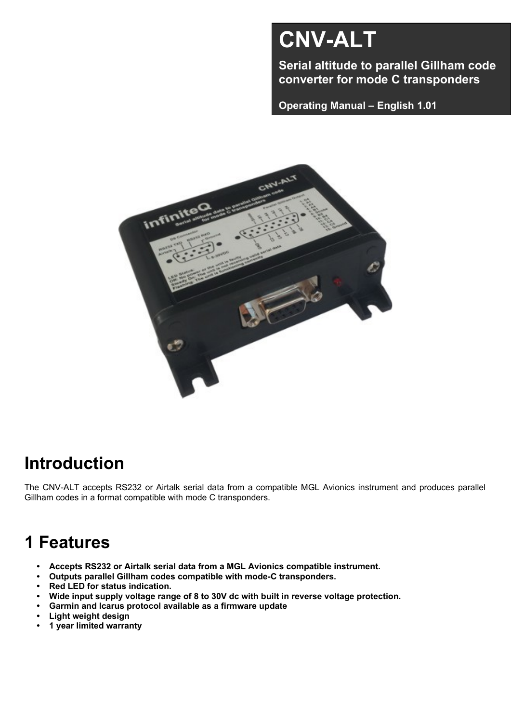# **CNV-ALT**

**Serial altitude to parallel Gillham code converter for mode C transponders**

**Operating Manual – English 1.01**



# **Introduction**

The CNV-ALT accepts RS232 or Airtalk serial data from a compatible MGL Avionics instrument and produces parallel Gillham codes in a format compatible with mode C transponders.

## **1 Features**

- **• Accepts RS232 or Airtalk serial data from a MGL Avionics compatible instrument.**
- **• Outputs parallel Gillham codes compatible with mode-C transponders.**
- **• Red LED for status indication.**
- **• Wide input supply voltage range of 8 to 30V dc with built in reverse voltage protection.**
- **• Garmin and Icarus protocol available as a firmware update**
- **• Light weight design**
- **• 1 year limited warranty**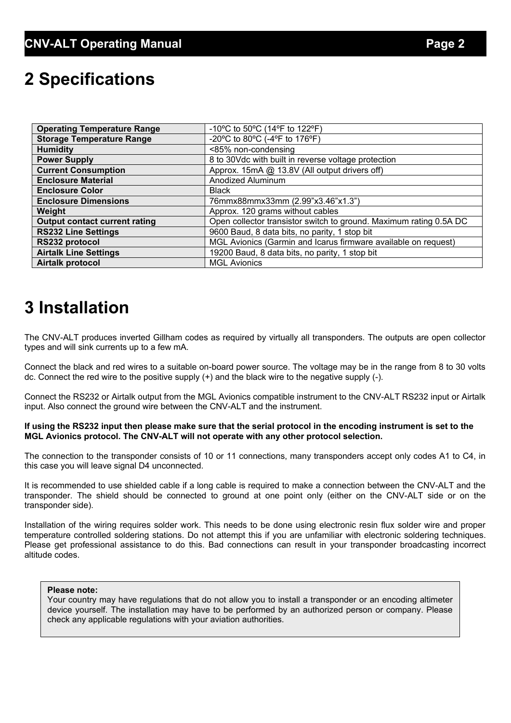## **2 Specifications**

| <b>Operating Temperature Range</b>   | -10°C to 50°C (14°F to 122°F)                                      |
|--------------------------------------|--------------------------------------------------------------------|
| <b>Storage Temperature Range</b>     | -20°C to 80°C (-4°F to 176°F)                                      |
| <b>Humidity</b>                      | <85% non-condensing                                                |
| <b>Power Supply</b>                  | 8 to 30Vdc with built in reverse voltage protection                |
| <b>Current Consumption</b>           | Approx. 15mA @ 13.8V (All output drivers off)                      |
| <b>Enclosure Material</b>            | Anodized Aluminum                                                  |
| <b>Enclosure Color</b>               | <b>Black</b>                                                       |
| <b>Enclosure Dimensions</b>          | 76mmx88mmx33mm (2.99"x3.46"x1.3")                                  |
| Weight                               | Approx. 120 grams without cables                                   |
| <b>Output contact current rating</b> | Open collector transistor switch to ground. Maximum rating 0.5A DC |
| <b>RS232 Line Settings</b>           | 9600 Baud, 8 data bits, no parity, 1 stop bit                      |
| RS232 protocol                       | MGL Avionics (Garmin and Icarus firmware available on request)     |
| <b>Airtalk Line Settings</b>         | 19200 Baud, 8 data bits, no parity, 1 stop bit                     |
| <b>Airtalk protocol</b>              | <b>MGL Avionics</b>                                                |

## **3 Installation**

The CNV-ALT produces inverted Gillham codes as required by virtually all transponders. The outputs are open collector types and will sink currents up to a few mA.

Connect the black and red wires to a suitable on-board power source. The voltage may be in the range from 8 to 30 volts dc. Connect the red wire to the positive supply (+) and the black wire to the negative supply (-).

Connect the RS232 or Airtalk output from the MGL Avionics compatible instrument to the CNV-ALT RS232 input or Airtalk input. Also connect the ground wire between the CNV-ALT and the instrument.

#### **If using the RS232 input then please make sure that the serial protocol in the encoding instrument is set to the MGL Avionics protocol. The CNV-ALT will not operate with any other protocol selection.**

The connection to the transponder consists of 10 or 11 connections, many transponders accept only codes A1 to C4, in this case you will leave signal D4 unconnected.

It is recommended to use shielded cable if a long cable is required to make a connection between the CNV-ALT and the transponder. The shield should be connected to ground at one point only (either on the CNV-ALT side or on the transponder side).

Installation of the wiring requires solder work. This needs to be done using electronic resin flux solder wire and proper temperature controlled soldering stations. Do not attempt this if you are unfamiliar with electronic soldering techniques. Please get professional assistance to do this. Bad connections can result in your transponder broadcasting incorrect altitude codes.

#### **Please note:**

Your country may have regulations that do not allow you to install a transponder or an encoding altimeter device yourself. The installation may have to be performed by an authorized person or company. Please check any applicable regulations with your aviation authorities.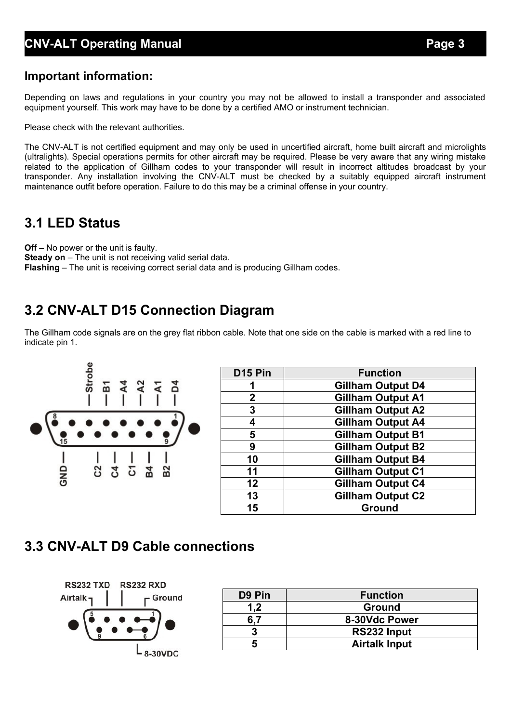#### **CNV-ALT Operating Manual Page 3**

#### **Important information:**

Depending on laws and regulations in your country you may not be allowed to install a transponder and associated equipment yourself. This work may have to be done by a certified AMO or instrument technician.

Please check with the relevant authorities.

The CNV-ALT is not certified equipment and may only be used in uncertified aircraft, home built aircraft and microlights (ultralights). Special operations permits for other aircraft may be required. Please be very aware that any wiring mistake related to the application of Gillham codes to your transponder will result in incorrect altitudes broadcast by your transponder. Any installation involving the CNV-ALT must be checked by a suitably equipped aircraft instrument maintenance outfit before operation. Failure to do this may be a criminal offense in your country.

### **3.1 LED Status**

**Off** – No power or the unit is faulty. **Steady on** – The unit is not receiving valid serial data. **Flashing** – The unit is receiving correct serial data and is producing Gillham codes.

## **3.2 CNV-ALT D15 Connection Diagram**

The Gillham code signals are on the grey flat ribbon cable. Note that one side on the cable is marked with a red line to indicate pin 1.



| D <sub>15</sub> Pin | <b>Function</b>          |  |  |  |  |  |
|---------------------|--------------------------|--|--|--|--|--|
|                     | <b>Gillham Output D4</b> |  |  |  |  |  |
| $\mathbf 2$         | <b>Gillham Output A1</b> |  |  |  |  |  |
| 3                   | <b>Gillham Output A2</b> |  |  |  |  |  |
| 4                   | <b>Gillham Output A4</b> |  |  |  |  |  |
| 5                   | Gillham Output B1        |  |  |  |  |  |
| 9                   | <b>Gillham Output B2</b> |  |  |  |  |  |
| 10                  | <b>Gillham Output B4</b> |  |  |  |  |  |
| 11                  | <b>Gillham Output C1</b> |  |  |  |  |  |
| 12                  | <b>Gillham Output C4</b> |  |  |  |  |  |
| 13                  | <b>Gillham Output C2</b> |  |  |  |  |  |
| 15                  | <b>Ground</b>            |  |  |  |  |  |

### **3.3 CNV-ALT D9 Cable connections**



| D <sub>9</sub> Pin | <b>Function</b>      |  |  |  |  |
|--------------------|----------------------|--|--|--|--|
| 1.2                | <b>Ground</b>        |  |  |  |  |
|                    | 8-30Vdc Power        |  |  |  |  |
|                    | RS232 Input          |  |  |  |  |
|                    | <b>Airtalk Input</b> |  |  |  |  |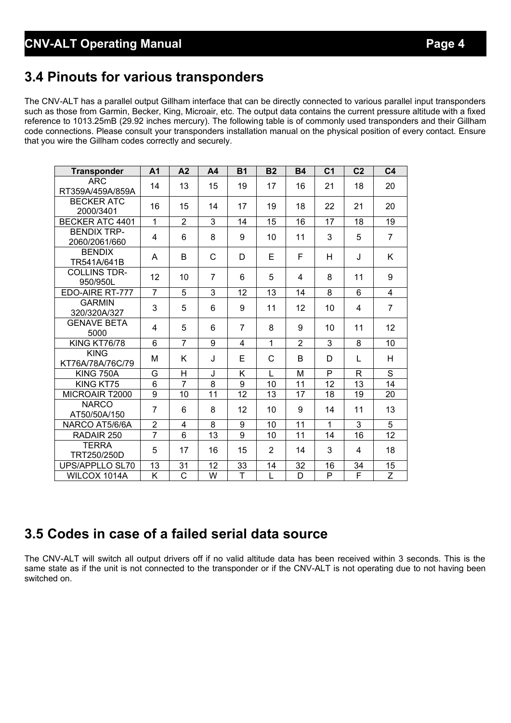## **3.4 Pinouts for various transponders**

The CNV-ALT has a parallel output Gillham interface that can be directly connected to various parallel input transponders such as those from Garmin, Becker, King, Microair, etc. The output data contains the current pressure altitude with a fixed reference to 1013.25mB (29.92 inches mercury). The following table is of commonly used transponders and their Gillham code connections. Please consult your transponders installation manual on the physical position of every contact. Ensure that you wire the Gillham codes correctly and securely.

| <b>Transponder</b>                  | A <sub>1</sub> | A <sub>2</sub>     | A <sub>4</sub> | <b>B1</b>      | <b>B2</b>      | <b>B4</b>      | C <sub>1</sub> | C <sub>2</sub>          | C <sub>4</sub> |
|-------------------------------------|----------------|--------------------|----------------|----------------|----------------|----------------|----------------|-------------------------|----------------|
| <b>ARC</b><br>RT359A/459A/859A      | 14             | 13                 | 15             | 19             | 17             | 16             | 21             | 18                      | 20             |
| <b>BECKER ATC</b><br>2000/3401      | 16             | 15                 | 14             | 17             | 19             | 18             | 22             | 21                      | 20             |
| <b>BECKER ATC 4401</b>              | 1              | $\overline{2}$     | 3              | 14             | 15             | 16             | 17             | 18                      | 19             |
| <b>BENDIX TRP-</b><br>2060/2061/660 | 4              | 6                  | 8              | 9              | 10             | 11             | 3              | 5                       | $\overline{7}$ |
| <b>BENDIX</b><br>TR541A/641B        | A              | B                  | C              | D              | E              | F              | H              | J                       | K              |
| <b>COLLINS TDR-</b><br>950/950L     | 12             | 10                 | $\overline{7}$ | 6              | 5              | 4              | 8              | 11                      | 9              |
| EDO-AIRE RT-777                     | $\overline{7}$ | 5                  | 3              | 12             | 13             | 14             | 8              | 6                       | 4              |
| <b>GARMIN</b><br>320/320A/327       | 3              | 5                  | 6              | 9              | 11             | 12             | 10             | 4                       | $\overline{7}$ |
| <b>GENAVE BETA</b><br>5000          | 4              | 5                  | 6              | $\overline{7}$ | 8              | 9              | 10             | 11                      | 12             |
| <b>KING KT76/78</b>                 | 6              | $\overline{7}$     | 9              | $\overline{4}$ | $\overline{1}$ | $\overline{2}$ | 3              | 8                       | 10             |
| <b>KING</b><br>KT76A/78A/76C/79     | М              | K                  | J              | Е              | C              | B              | D              | L                       | H              |
| <b>KING 750A</b>                    | G              | н                  | J              | Κ              | L              | M              | P              | R                       | S              |
| KING KT75                           | 6              | $\overline{7}$     | 8              | 9              | 10             | 11             | 12             | 13                      | 14             |
| MICROAIR T2000                      | $\overline{9}$ | 10                 | 11             | 12             | 13             | 17             | 18             | 19                      | 20             |
| <b>NARCO</b><br>AT50/50A/150        | $\overline{7}$ | 6                  | 8              | 12             | 10             | 9              | 14             | 11                      | 13             |
| NARCO AT5/6/6A                      | $\overline{2}$ | 4                  | 8              | 9              | 10             | 11             | 1              | 3                       | 5              |
| RADAIR 250                          | $\overline{7}$ | 6                  | 13             | 9              | 10             | 11             | 14             | 16                      | 12             |
| <b>TERRA</b><br>TRT250/250D         | 5              | 17                 | 16             | 15             | $\overline{2}$ | 14             | 3              | 4                       | 18             |
| UPS/APPLLO SL70                     | 13             | 31                 | 12             | 33             | 14             | 32             | 16             | 34                      | 15             |
| WILCOX 1014A                        | K              | $\overline{\rm c}$ | W              | $\overline{T}$ | L              | D              | P              | $\overline{\mathsf{F}}$ | $\overline{Z}$ |

## **3.5 Codes in case of a failed serial data source**

The CNV-ALT will switch all output drivers off if no valid altitude data has been received within 3 seconds. This is the same state as if the unit is not connected to the transponder or if the CNV-ALT is not operating due to not having been switched on.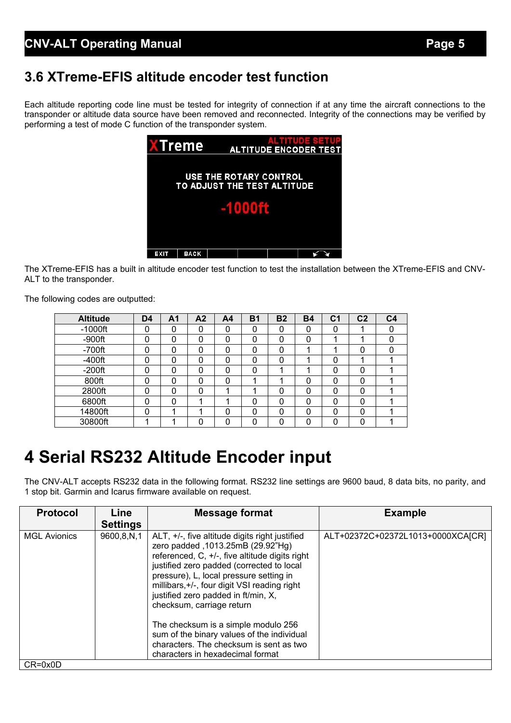## **3.6 XTreme-EFIS altitude encoder test function**

Each altitude reporting code line must be tested for integrity of connection if at any time the aircraft connections to the transponder or altitude data source have been removed and reconnected. Integrity of the connections may be verified by performing a test of mode C function of the transponder system.



The XTreme-EFIS has a built in altitude encoder test function to test the installation between the XTreme-EFIS and CNV-ALT to the transponder.

The following codes are outputted:

| <b>Altitude</b> | D <sub>4</sub> | Α1 | A <sub>2</sub> | A <sub>4</sub> | <b>B1</b> | <b>B2</b> | <b>B4</b> | C <sub>1</sub> | C <sub>2</sub> | C <sub>4</sub> |
|-----------------|----------------|----|----------------|----------------|-----------|-----------|-----------|----------------|----------------|----------------|
| $-1000$ ft      |                | 0  | 0              | 0              | 0         | 0         | 0         | 0              |                |                |
| $-900$ ft       |                |    | 0              | 0              | 0         | 0         | 0         |                |                |                |
| $-700$ ft       |                | 0  | 0              | 0              | 0         | 0         |           |                |                |                |
| $-400$ ft       |                |    | 0              | 0              | 0         | 0         |           | 0              |                |                |
| $-200$ ft       |                | O  | 0              | 0              | 0         |           |           | 0              |                |                |
| 800ft           |                | 0  | 0              | 0              |           |           | 0         | 0              |                |                |
| 2800ft          | n              | 0  | 0              |                | л         | 0         | 0         | 0              | $\Omega$       |                |
| 6800ft          |                | 0  |                |                | 0         | 0         | 0         | 0              |                |                |
| 14800ft         |                |    | ۰              | 0              | 0         | $\Omega$  | 0         | 0              | $\Omega$       |                |
| 30800ft         |                |    | 0              | 0              | ი         | U         | ი         | 0              |                |                |

## **4 Serial RS232 Altitude Encoder input**

The CNV-ALT accepts RS232 data in the following format. RS232 line settings are 9600 baud, 8 data bits, no parity, and 1 stop bit. Garmin and Icarus firmware available on request.

| <b>Protocol</b>     | Line<br><b>Settings</b> | <b>Message format</b>                                                                                                                                                                                                                                                                                                                                                                                                                                                                                                  | <b>Example</b>                    |
|---------------------|-------------------------|------------------------------------------------------------------------------------------------------------------------------------------------------------------------------------------------------------------------------------------------------------------------------------------------------------------------------------------------------------------------------------------------------------------------------------------------------------------------------------------------------------------------|-----------------------------------|
| <b>MGL Avionics</b> | 9600,8,N,1              | ALT, +/-, five altitude digits right justified<br>zero padded , 1013.25mB (29.92"Hg)<br>referenced, C, +/-, five altitude digits right<br>justified zero padded (corrected to local<br>pressure), L, local pressure setting in<br>millibars, +/-, four digit VSI reading right<br>justified zero padded in ft/min, X,<br>checksum, carriage return<br>The checksum is a simple modulo 256<br>sum of the binary values of the individual<br>characters. The checksum is sent as two<br>characters in hexadecimal format | ALT+02372C+02372L1013+0000XCA[CR] |
| $CR = 0x0D$         |                         |                                                                                                                                                                                                                                                                                                                                                                                                                                                                                                                        |                                   |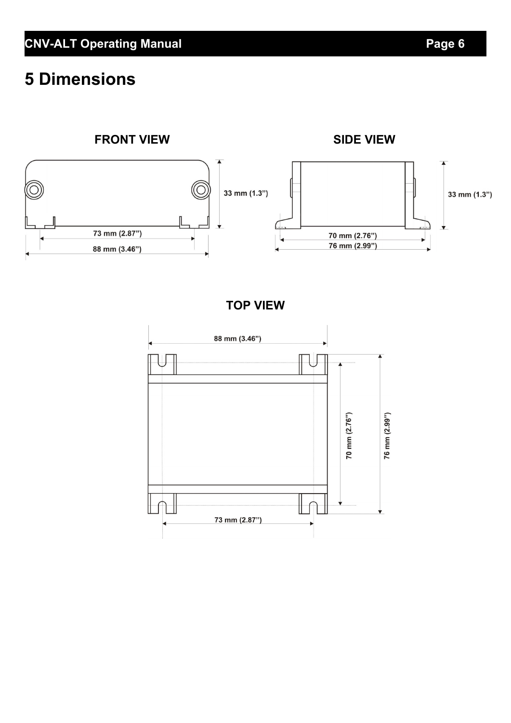# **5 Dimensions**

#### **FRONT VIEW SIDE VIEW**



**TOP VIEW**